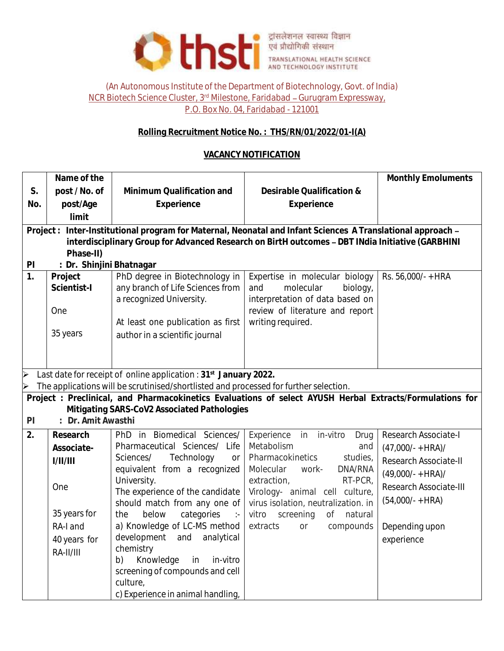

#### (An Autonomous Institute of the Department of Biotechnology, Govt. of India) NCR Biotech Science Cluster, 3<sup>rd</sup> Milestone, Faridabad - Gurugram Expressway, P.O. Box No. 04, Faridabad - 121001

# **Rolling Recruitment Notice No. : THS/RN/01/2022/01-I(A)**

# **VACANCY NOTIFICATION**

|                       | Name of the                                                                                      |                                                                                                            |                                                                 | Monthly Emoluments     |  |
|-----------------------|--------------------------------------------------------------------------------------------------|------------------------------------------------------------------------------------------------------------|-----------------------------------------------------------------|------------------------|--|
| S.                    | post / No. of                                                                                    | Minimum Qualification and                                                                                  | Desirable Qualification &                                       |                        |  |
| No.                   | post/Age                                                                                         | Experience                                                                                                 | Experience                                                      |                        |  |
|                       | limit                                                                                            |                                                                                                            |                                                                 |                        |  |
|                       |                                                                                                  | Project: Inter-Institutional program for Maternal, Neonatal and Infant Sciences A Translational approach - |                                                                 |                        |  |
|                       | interdisciplinary Group for Advanced Research on BirtH outcomes - DBT INdia Initiative (GARBHINI |                                                                                                            |                                                                 |                        |  |
|                       | Phase-II)                                                                                        |                                                                                                            |                                                                 |                        |  |
| PI                    | : Dr. Shinjini Bhatnagar                                                                         |                                                                                                            |                                                                 |                        |  |
| $\overline{1}$ .      | Project                                                                                          | PhD degree in Biotechnology in                                                                             | Expertise in molecular biology                                  | Rs. 56,000/- + HRA     |  |
|                       | Scientist-I                                                                                      | any branch of Life Sciences from<br>a recognized University.                                               | molecular<br>and<br>biology,<br>interpretation of data based on |                        |  |
|                       | One                                                                                              |                                                                                                            | review of literature and report                                 |                        |  |
|                       |                                                                                                  | At least one publication as first                                                                          | writing required.                                               |                        |  |
|                       | 35 years                                                                                         | author in a scientific journal                                                                             |                                                                 |                        |  |
|                       |                                                                                                  |                                                                                                            |                                                                 |                        |  |
|                       |                                                                                                  |                                                                                                            |                                                                 |                        |  |
| $\blacktriangleright$ | Last date for receipt of online application : 31 <sup>st</sup> January 2022.                     |                                                                                                            |                                                                 |                        |  |
| $\blacktriangleleft$  |                                                                                                  | The applications will be scrutinised/shortlisted and processed for further selection.                      |                                                                 |                        |  |
|                       |                                                                                                  | Project: Preclinical, and Pharmacokinetics Evaluations of select AYUSH Herbal Extracts/Formulations for    |                                                                 |                        |  |
|                       |                                                                                                  | Mitigating SARS-CoV2 Associated Pathologies                                                                |                                                                 |                        |  |
| P                     | : Dr. Amit Awasthi                                                                               |                                                                                                            |                                                                 |                        |  |
| 2.                    | Research                                                                                         | PhD in Biomedical Sciences/                                                                                | Experience<br>in in-vitro<br>Drug                               | Research Associate-I   |  |
|                       | Associate-                                                                                       | Pharmaceutical Sciences/ Life                                                                              | Metabolism<br>and                                               | $(47,000/- + HRA)$ /   |  |
|                       | 1/11/111                                                                                         | Technology<br>Sciences/<br>or                                                                              | Pharmacokinetics<br>studies,                                    | Research Associate-II  |  |
|                       |                                                                                                  | equivalent from a recognized                                                                               | DNA/RNA<br>Molecular<br>work-                                   | $(49,000/- + HRA)$ /   |  |
|                       | One                                                                                              | University.<br>The experience of the candidate                                                             | RT-PCR,<br>extraction,<br>Virology- animal cell culture,        | Research Associate-III |  |
|                       |                                                                                                  | should match from any one of                                                                               | virus isolation, neutralization. in                             | $(54,000/- + HRA)$     |  |
|                       | 35 years for                                                                                     | below<br>categories<br>the<br>$\sim$ 1 $-$                                                                 | vitro<br>screening<br>Оf<br>natural                             |                        |  |
|                       | RA-I and                                                                                         | a) Knowledge of LC-MS method                                                                               | extracts<br>compounds<br>$O\Gamma$                              | Depending upon         |  |
|                       | 40 years for                                                                                     | development<br>and<br>analytical                                                                           |                                                                 | experience             |  |
|                       | $RA-III/III$                                                                                     | chemistry                                                                                                  |                                                                 |                        |  |
|                       |                                                                                                  | Knowledge<br>in<br>b)<br>in-vitro                                                                          |                                                                 |                        |  |
|                       |                                                                                                  | screening of compounds and cell                                                                            |                                                                 |                        |  |
|                       |                                                                                                  | culture,                                                                                                   |                                                                 |                        |  |
|                       |                                                                                                  | c) Experience in animal handling,                                                                          |                                                                 |                        |  |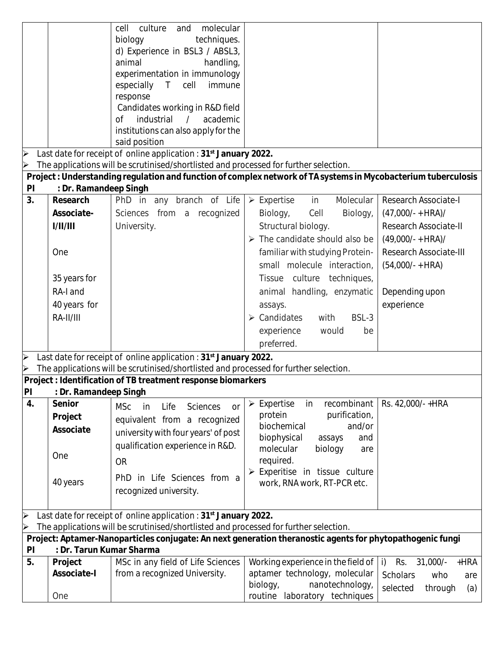|                                                                                                                                                                      |                          | molecular<br>culture<br>and<br>cell                                                                           |                                               |                                             |
|----------------------------------------------------------------------------------------------------------------------------------------------------------------------|--------------------------|---------------------------------------------------------------------------------------------------------------|-----------------------------------------------|---------------------------------------------|
|                                                                                                                                                                      |                          | techniques.<br>biology                                                                                        |                                               |                                             |
|                                                                                                                                                                      |                          | d) Experience in BSL3 / ABSL3,                                                                                |                                               |                                             |
|                                                                                                                                                                      |                          | animal<br>handling,                                                                                           |                                               |                                             |
|                                                                                                                                                                      |                          | experimentation in immunology                                                                                 |                                               |                                             |
|                                                                                                                                                                      |                          | especially T<br>cell<br>immune                                                                                |                                               |                                             |
|                                                                                                                                                                      |                          | response                                                                                                      |                                               |                                             |
|                                                                                                                                                                      |                          | Candidates working in R&D field                                                                               |                                               |                                             |
|                                                                                                                                                                      |                          | industrial<br>$\frac{1}{2}$<br>academic<br>of                                                                 |                                               |                                             |
|                                                                                                                                                                      |                          | institutions can also apply for the                                                                           |                                               |                                             |
|                                                                                                                                                                      |                          | said position                                                                                                 |                                               |                                             |
| $\triangleright$                                                                                                                                                     |                          | Last date for receipt of online application : 31 <sup>st</sup> January 2022.                                  |                                               |                                             |
| $\blacktriangle$                                                                                                                                                     |                          | The applications will be scrutinised/shortlisted and processed for further selection.                         |                                               |                                             |
|                                                                                                                                                                      |                          | Project: Understanding regulation and function of complex network of TA systems in Mycobacterium tuberculosis |                                               |                                             |
| P                                                                                                                                                                    | : Dr. Ramandeep Singh    |                                                                                                               |                                               |                                             |
| 3.                                                                                                                                                                   | Research                 | PhD in any branch of Life                                                                                     | $\triangleright$ Expertise<br>Molecular<br>in | Research Associate-I                        |
|                                                                                                                                                                      | Associate-               | Sciences from a recognized                                                                                    | Biology,<br>Cell<br>Biology,                  | $(47,000/- + HRA)$ /                        |
|                                                                                                                                                                      | 1/11/111                 | University.                                                                                                   | Structural biology.                           | Research Associate-II                       |
|                                                                                                                                                                      |                          |                                                                                                               |                                               |                                             |
|                                                                                                                                                                      |                          |                                                                                                               | $\triangleright$ The candidate should also be | $(49,000/- + HRA)$ /                        |
|                                                                                                                                                                      | One                      |                                                                                                               | familiar with studying Protein-               | Research Associate-III                      |
|                                                                                                                                                                      |                          |                                                                                                               | small molecule interaction,                   | $(54,000/- + HRA)$                          |
|                                                                                                                                                                      | 35 years for             |                                                                                                               | Tissue culture techniques,                    |                                             |
|                                                                                                                                                                      | RA-I and                 |                                                                                                               | animal handling, enzymatic                    | Depending upon                              |
|                                                                                                                                                                      | 40 years for             |                                                                                                               | assays.                                       | experience                                  |
|                                                                                                                                                                      | $RA-III/III$             |                                                                                                               | BSL-3<br>$\triangleright$ Candidates<br>with  |                                             |
|                                                                                                                                                                      |                          |                                                                                                               |                                               |                                             |
|                                                                                                                                                                      |                          |                                                                                                               | experience<br>would<br>be                     |                                             |
|                                                                                                                                                                      |                          |                                                                                                               | preferred.                                    |                                             |
| $\blacktriangle$                                                                                                                                                     |                          | Last date for receipt of online application : 31 <sup>st</sup> January 2022.                                  |                                               |                                             |
|                                                                                                                                                                      |                          | The applications will be scrutinised/shortlisted and processed for further selection.                         |                                               |                                             |
|                                                                                                                                                                      |                          | Project : Identification of TB treatment response biomarkers                                                  |                                               |                                             |
|                                                                                                                                                                      | PI : Dr. Ramandeep Singh |                                                                                                               |                                               |                                             |
| 4.                                                                                                                                                                   | Senior                   | <b>MSc</b><br>in<br>Life<br>Sciences<br><b>or</b>                                                             | recombinant<br>Expertise<br>in<br>➤           | Rs. 42,000/-+HRA                            |
|                                                                                                                                                                      | Project                  | equivalent from a recognized                                                                                  | protein<br>purification,                      |                                             |
|                                                                                                                                                                      | Associate                | university with four years' of post                                                                           | biochemical<br>and/or                         |                                             |
|                                                                                                                                                                      |                          | qualification experience in R&D.                                                                              | biophysical<br>assays<br>and                  |                                             |
|                                                                                                                                                                      | One                      |                                                                                                               | molecular<br>biology<br>are                   |                                             |
|                                                                                                                                                                      |                          | <b>OR</b>                                                                                                     | required.                                     |                                             |
|                                                                                                                                                                      |                          | in Life Sciences from a<br>PhD                                                                                | $\triangleright$ Experitise in tissue culture |                                             |
|                                                                                                                                                                      | 40 years                 | recognized university.                                                                                        | work, RNA work, RT-PCR etc.                   |                                             |
|                                                                                                                                                                      |                          |                                                                                                               |                                               |                                             |
|                                                                                                                                                                      |                          |                                                                                                               |                                               |                                             |
| Last date for receipt of online application: 31 <sup>st</sup> January 2022.<br>The applications will be scrutinised/shortlisted and processed for further selection. |                          |                                                                                                               |                                               |                                             |
| Project: Aptamer-Nanoparticles conjugate: An next generation theranostic agents for phytopathogenic fungi                                                            |                          |                                                                                                               |                                               |                                             |
| : Dr. Tarun Kumar Sharma<br>P <sub>l</sub>                                                                                                                           |                          |                                                                                                               |                                               |                                             |
| 5.                                                                                                                                                                   | Project                  | MSc in any field of Life Sciences                                                                             | Working experience in the field of            | $\mathsf{i}$<br>Rs.<br>$31,000/-$<br>$+HRA$ |
|                                                                                                                                                                      | Associate-I              | from a recognized University.                                                                                 | aptamer technology, molecular                 | Scholars<br>who<br>are                      |
|                                                                                                                                                                      |                          |                                                                                                               | nanotechnology,<br>biology,                   | selected<br>through<br>(a)                  |
|                                                                                                                                                                      | One                      |                                                                                                               | routine laboratory techniques                 |                                             |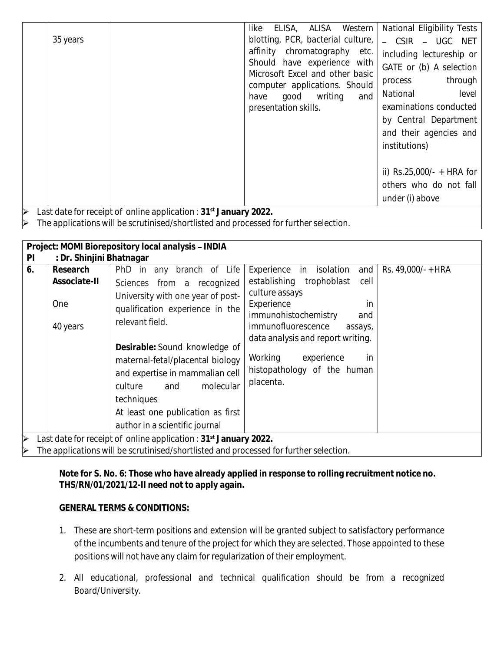|                                                                 | ELISA, ALISA Western<br>like                  | National Eligibility Tests  |
|-----------------------------------------------------------------|-----------------------------------------------|-----------------------------|
| 35 years                                                        | blotting, PCR, bacterial culture,             | - CSIR - UGC NET            |
|                                                                 | affinity chromatography etc.                  | including lectureship or    |
|                                                                 | Should have experience with                   | GATE or (b) A selection     |
|                                                                 | Microsoft Excel and other basic               | through<br>process          |
|                                                                 | computer applications. Should<br>good writing | level<br>National           |
|                                                                 | and<br>have<br>presentation skills.           | examinations conducted      |
|                                                                 |                                               | by Central Department       |
|                                                                 |                                               | and their agencies and      |
|                                                                 |                                               |                             |
|                                                                 |                                               | institutions)               |
|                                                                 |                                               |                             |
|                                                                 |                                               | ii) $Rs.25,000/- + HRA$ for |
|                                                                 |                                               | others who do not fall      |
|                                                                 |                                               | under (i) above             |
| Lost deta for resolpt of opline epplication : 21st January 2022 |                                               |                             |

Last date for receipt of online application : **31st January 2022.**

The applications will be scrutinised/shortlisted and processed for further selection.

| Project: MOMI Biorepository local analysis - INDIA                                                                                                                                                |                                             |                                                                                                                                                                                                                                                                                                                                                                                |                                                                                                                                                                                                                                                                                                |                    |
|---------------------------------------------------------------------------------------------------------------------------------------------------------------------------------------------------|---------------------------------------------|--------------------------------------------------------------------------------------------------------------------------------------------------------------------------------------------------------------------------------------------------------------------------------------------------------------------------------------------------------------------------------|------------------------------------------------------------------------------------------------------------------------------------------------------------------------------------------------------------------------------------------------------------------------------------------------|--------------------|
| : Dr. Shinjini Bhatnagar<br>$\mathsf{Pl}$                                                                                                                                                         |                                             |                                                                                                                                                                                                                                                                                                                                                                                |                                                                                                                                                                                                                                                                                                |                    |
| 6.                                                                                                                                                                                                | Research<br>Associate-II<br>One<br>40 years | PhD in any branch of Life<br>Sciences from a recognized<br>University with one year of post-<br>qualification experience in the<br>relevant field.<br>Desirable: Sound knowledge of<br>maternal-fetal/placental biology<br>and expertise in mammalian cell<br>molecular<br>and<br>culture<br>techniques<br>At least one publication as first<br>author in a scientific journal | Experience<br>isolation<br>in<br>and<br>establishing trophoblast<br>cell<br>culture assays<br>Experience<br>in<br>immunohistochemistry<br>and<br>immunofluorescence<br>assays,<br>data analysis and report writing.<br>Working<br>experience<br>in<br>histopathology of the human<br>placenta. | Rs. 49,000/- + HRA |
| $\blacktriangleright$<br>Last date for receipt of online application: 31 <sup>st</sup> January 2022.<br>The applications will be serutinised sportlisted and presessed for further selection<br>∼ |                                             |                                                                                                                                                                                                                                                                                                                                                                                |                                                                                                                                                                                                                                                                                                |                    |

The applications will be scrutinised/shortlisted and processed for further selection.

**Note for S. No. 6: Those who have already applied in response to rolling recruitment notice no. THS/RN/01/2021/12-II need not to apply again.**

# **GENERAL TERMS & CONDITIONS:**

- 1. These are short-term positions and extension will be granted subject to satisfactory performance of the incumbents and tenure of the project for which they are selected. Those appointed to these positions will not have any claim for regularization of their employment.
- 2. All educational, professional and technical qualification should be from a recognized Board/University.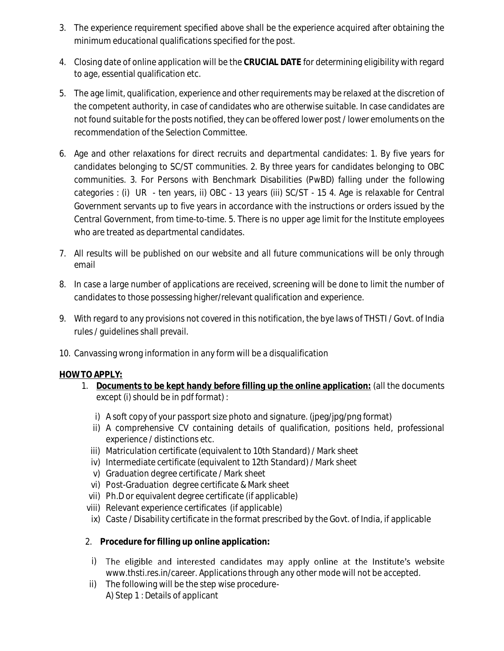- 3. The experience requirement specified above shall be the experience acquired after obtaining the minimum educational qualifications specified for the post.
- 4. Closing date of online application will be the **CRUCIAL DATE** for determining eligibility with regard to age, essential qualification etc.
- 5. The age limit, qualification, experience and other requirements may be relaxed at the discretion of the competent authority, in case of candidates who are otherwise suitable. In case candidates are not found suitable for the posts notified, they can be offered lower post / lower emoluments on the recommendation of the Selection Committee.
- 6. Age and other relaxations for direct recruits and departmental candidates: 1. By five years for candidates belonging to SC/ST communities. 2. By three years for candidates belonging to OBC communities. 3. For Persons with Benchmark Disabilities (PwBD) falling under the following categories : (i) UR - ten years, ii) OBC - 13 years (iii) SC/ST - 15 4. Age is relaxable for Central Government servants up to five years in accordance with the instructions or orders issued by the Central Government, from time-to-time. 5. There is no upper age limit for the Institute employees who are treated as departmental candidates.
- 7. All results will be published on our website and all future communications will be only through email
- 8. In case a large number of applications are received, screening will be done to limit the number of candidates to those possessing higher/relevant qualification and experience.
- 9. With regard to any provisions not covered in this notification, the bye laws of THSTI / Govt. of India rules / guidelines shall prevail.
- 10. Canvassing wrong information in any form will be a disqualification

### **HOW TO APPLY:**

- 1. **Documents to be kept handy before filling up the online application:** (all the documents except (i) should be in pdf format) :
	- i) A soft copy of your passport size photo and signature. (jpeg/jpg/png format)
	- ii) A comprehensive CV containing details of qualification, positions held, professional experience / distinctions etc.
	- iii) Matriculation certificate (equivalent to 10th Standard) / Mark sheet
	- iv) Intermediate certificate (equivalent to 12th Standard) / Mark sheet
	- v) Graduation degree certificate / Mark sheet
	- vi) Post-Graduation degree certificate & Mark sheet
	- vii) Ph.D or equivalent degree certificate (if applicable)
- viii) Relevant experience certificates (if applicable)
- ix) Caste / Disability certificate in the format prescribed by the Govt. of India, if applicable
- 2. **Procedure for filling up online application:**
	- i) The eligible and interested candidates may apply online at the Institute's website [www.thsti.res.in/career.](http://www.thsti.res.in/career) Applications through any other mode will not be accepted.
- ii) The following will be the step wise procedure-A) Step 1 : Details of applicant